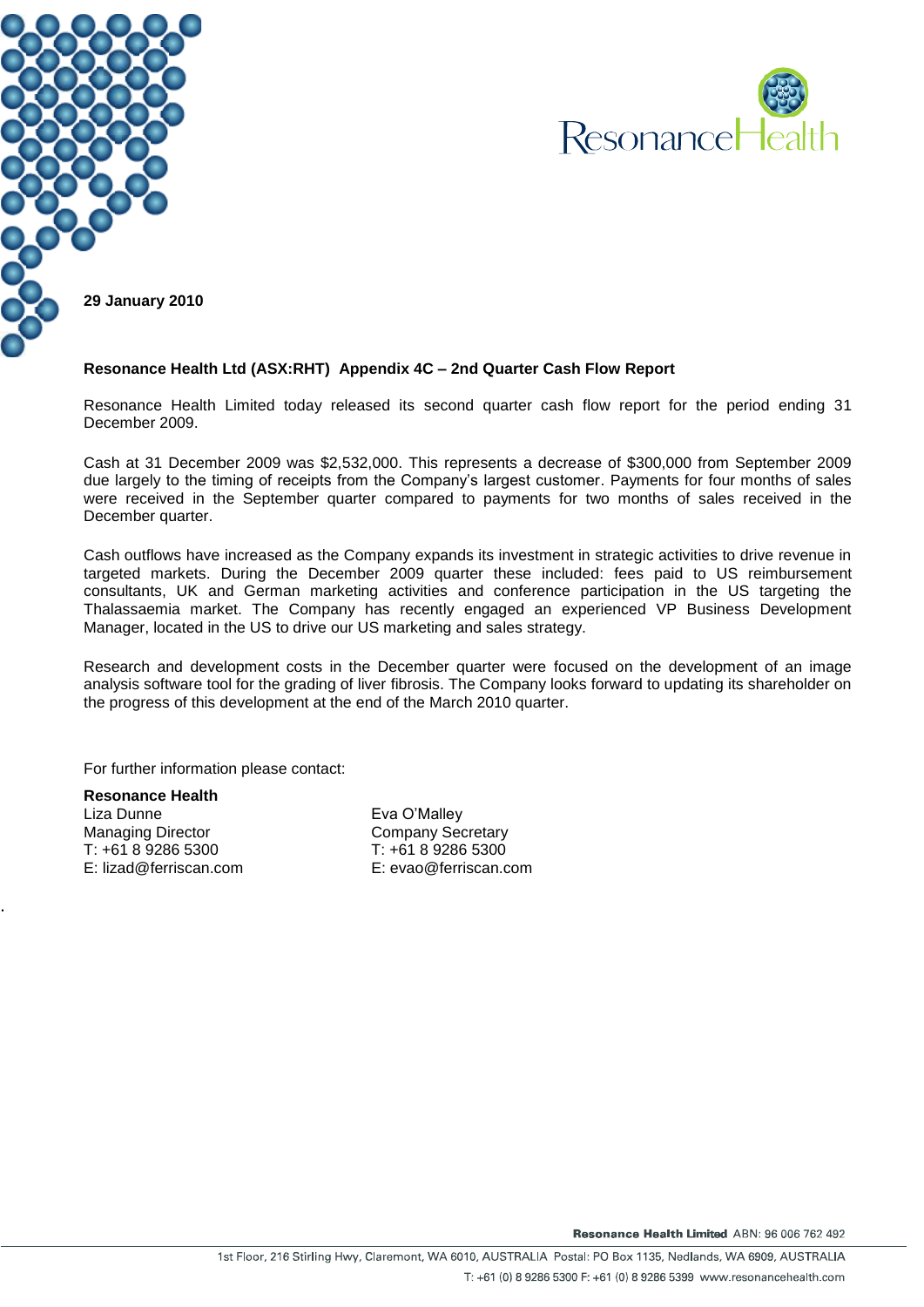



#### **Resonance Health Ltd (ASX:RHT) Appendix 4C – 2nd Quarter Cash Flow Report**

Resonance Health Limited today released its second quarter cash flow report for the period ending 31 December 2009.

Cash at 31 December 2009 was \$2,532,000. This represents a decrease of \$300,000 from September 2009 due largely to the timing of receipts from the Company's largest customer. Payments for four months of sales were received in the September quarter compared to payments for two months of sales received in the December quarter.

Cash outflows have increased as the Company expands its investment in strategic activities to drive revenue in targeted markets. During the December 2009 quarter these included: fees paid to US reimbursement consultants, UK and German marketing activities and conference participation in the US targeting the Thalassaemia market. The Company has recently engaged an experienced VP Business Development Manager, located in the US to drive our US marketing and sales strategy.

Research and development costs in the December quarter were focused on the development of an image analysis software tool for the grading of liver fibrosis. The Company looks forward to updating its shareholder on the progress of this development at the end of the March 2010 quarter.

For further information please contact:

**Resonance Health** Liza Dunne Managing Director T: +61 8 9286 5300 E: lizad@ferriscan.com

.

Eva O'Malley Company Secretary T: +61 8 9286 5300 E: evao@ferriscan.com

Resonance Health Limited ABN: 96 006 762 492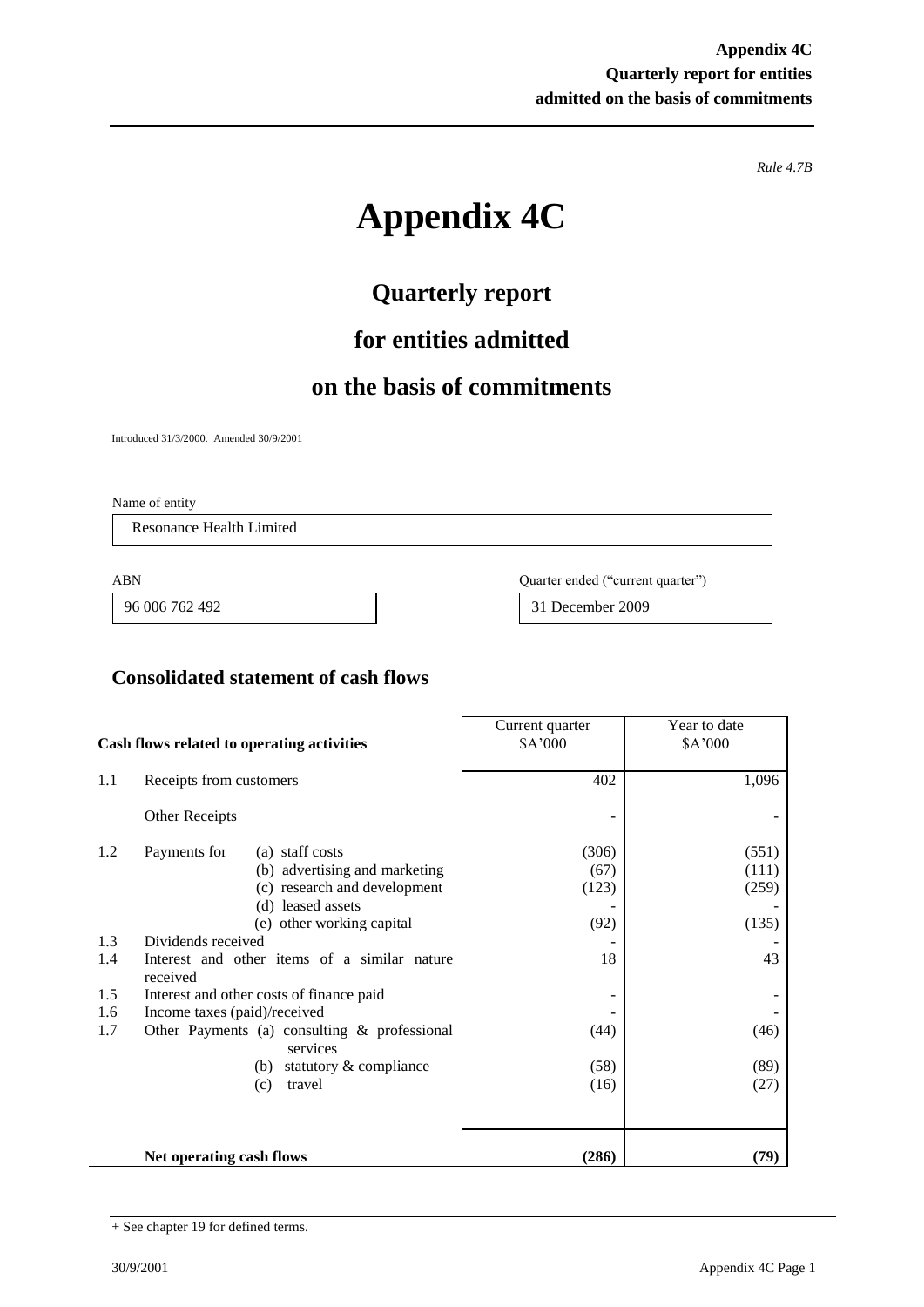*Rule 4.7B*

# **Appendix 4C**

## **Quarterly report**

## **for entities admitted**

## **on the basis of commitments**

Introduced 31/3/2000. Amended 30/9/2001

Name of entity

Resonance Health Limited

ABN Quarter ended ("current quarter")

96 006 762 492 31 December 2009

#### **Consolidated statement of cash flows**

| Cash flows related to operating activities |                                                                                                                                                    | Current quarter<br>\$A'000     | Year to date<br>\$A'000          |
|--------------------------------------------|----------------------------------------------------------------------------------------------------------------------------------------------------|--------------------------------|----------------------------------|
| 1.1                                        | Receipts from customers                                                                                                                            | 402                            | 1,096                            |
|                                            | Other Receipts                                                                                                                                     |                                |                                  |
| 1.2                                        | (a) staff costs<br>Payments for<br>(b) advertising and marketing<br>(c) research and development<br>(d) leased assets<br>(e) other working capital | (306)<br>(67)<br>(123)<br>(92) | (551)<br>(111)<br>(259)<br>(135) |
| 1.3                                        | Dividends received                                                                                                                                 |                                |                                  |
| 1.4                                        | Interest and other items of a similar nature<br>received                                                                                           | 18                             | 43                               |
| 1.5                                        | Interest and other costs of finance paid                                                                                                           |                                |                                  |
| 1.6                                        | Income taxes (paid)/received                                                                                                                       |                                |                                  |
| 1.7                                        | Other Payments (a) consulting $\&$ professional<br>services                                                                                        | (44)                           | (46)                             |
|                                            | statutory & compliance<br>(b)                                                                                                                      | (58)                           | (89)                             |
|                                            | travel<br>(c)                                                                                                                                      | (16)                           | (27)                             |
|                                            | Net operating cash flows                                                                                                                           | (286)                          | (79)                             |

<sup>+</sup> See chapter 19 for defined terms.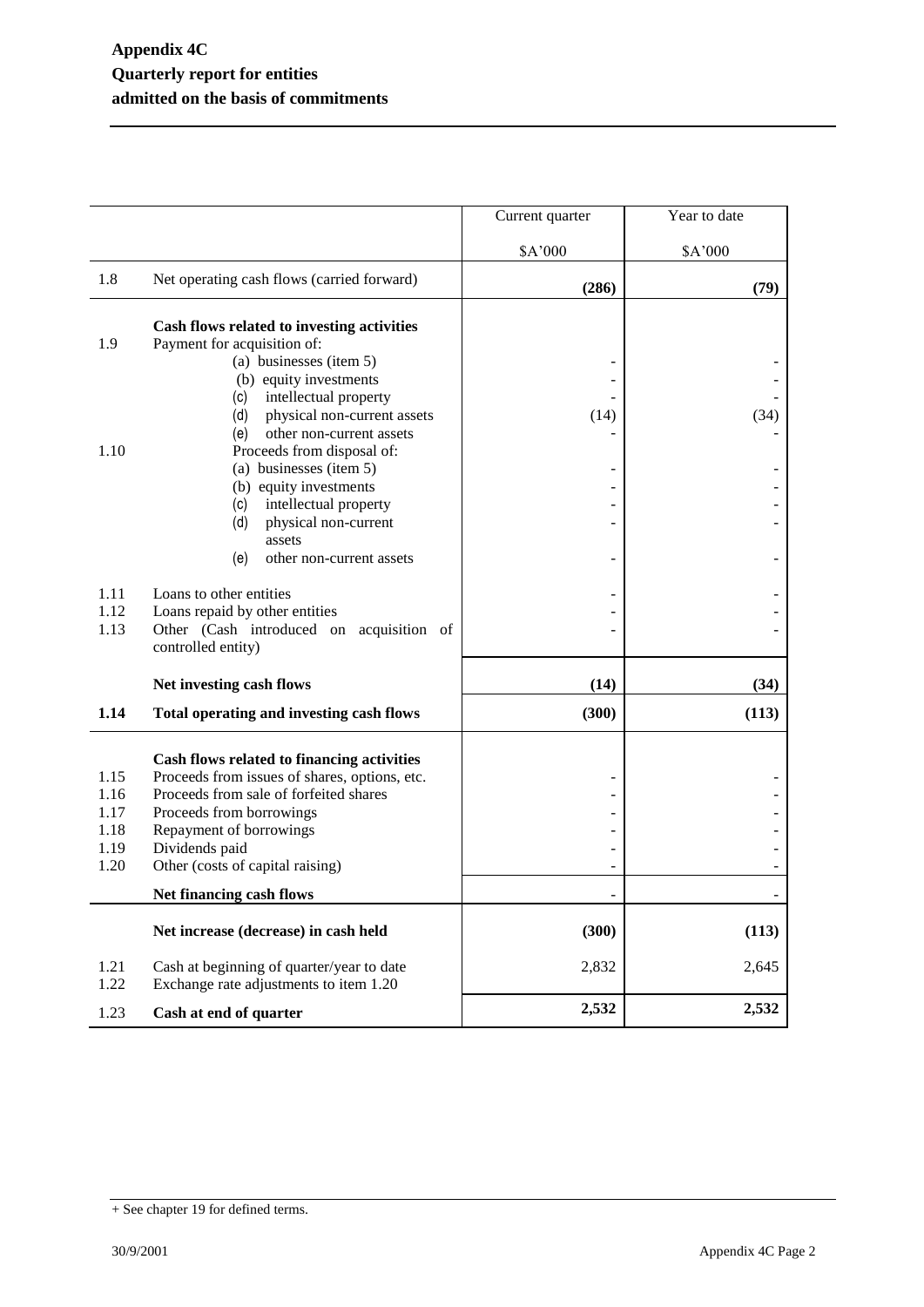|              |                                                                                     | Current quarter | Year to date |
|--------------|-------------------------------------------------------------------------------------|-----------------|--------------|
|              |                                                                                     | \$A'000         | \$A'000      |
| 1.8          | Net operating cash flows (carried forward)                                          | (286)           | (79)         |
|              | Cash flows related to investing activities                                          |                 |              |
| 1.9          | Payment for acquisition of:                                                         |                 |              |
|              | (a) businesses (item 5)                                                             |                 |              |
|              | (b) equity investments                                                              |                 |              |
|              | intellectual property<br>(c)                                                        |                 |              |
|              | physical non-current assets<br>(d)                                                  | (14)            | (34)         |
|              | other non-current assets<br>(e)                                                     |                 |              |
| 1.10         | Proceeds from disposal of:                                                          |                 |              |
|              | (a) businesses (item 5)                                                             |                 |              |
|              | (b) equity investments                                                              |                 |              |
|              | (c)<br>intellectual property                                                        |                 |              |
|              | (d)<br>physical non-current                                                         |                 |              |
|              | assets                                                                              |                 |              |
|              | (e)<br>other non-current assets                                                     |                 |              |
| 1.11         | Loans to other entities                                                             |                 |              |
| 1.12         | Loans repaid by other entities                                                      |                 |              |
| 1.13         | Other (Cash introduced on acquisition of                                            |                 |              |
|              | controlled entity)                                                                  |                 |              |
|              |                                                                                     |                 |              |
|              | Net investing cash flows                                                            | (14)            | (34)         |
| 1.14         | Total operating and investing cash flows                                            | (300)           | (113)        |
|              |                                                                                     |                 |              |
|              | Cash flows related to financing activities                                          |                 |              |
| 1.15         | Proceeds from issues of shares, options, etc.                                       |                 |              |
| 1.16         | Proceeds from sale of forfeited shares                                              |                 |              |
| 1.17         | Proceeds from borrowings                                                            |                 |              |
| 1.18<br>1.19 | Repayment of borrowings                                                             |                 |              |
| 1.20         | Dividends paid<br>Other (costs of capital raising)                                  |                 |              |
|              |                                                                                     |                 |              |
|              | Net financing cash flows                                                            |                 |              |
|              | Net increase (decrease) in cash held                                                | (300)           | (113)        |
| 1.21<br>1.22 | Cash at beginning of quarter/year to date<br>Exchange rate adjustments to item 1.20 | 2,832           | 2,645        |
| 1.23         | Cash at end of quarter                                                              | 2,532           | 2,532        |

<sup>+</sup> See chapter 19 for defined terms.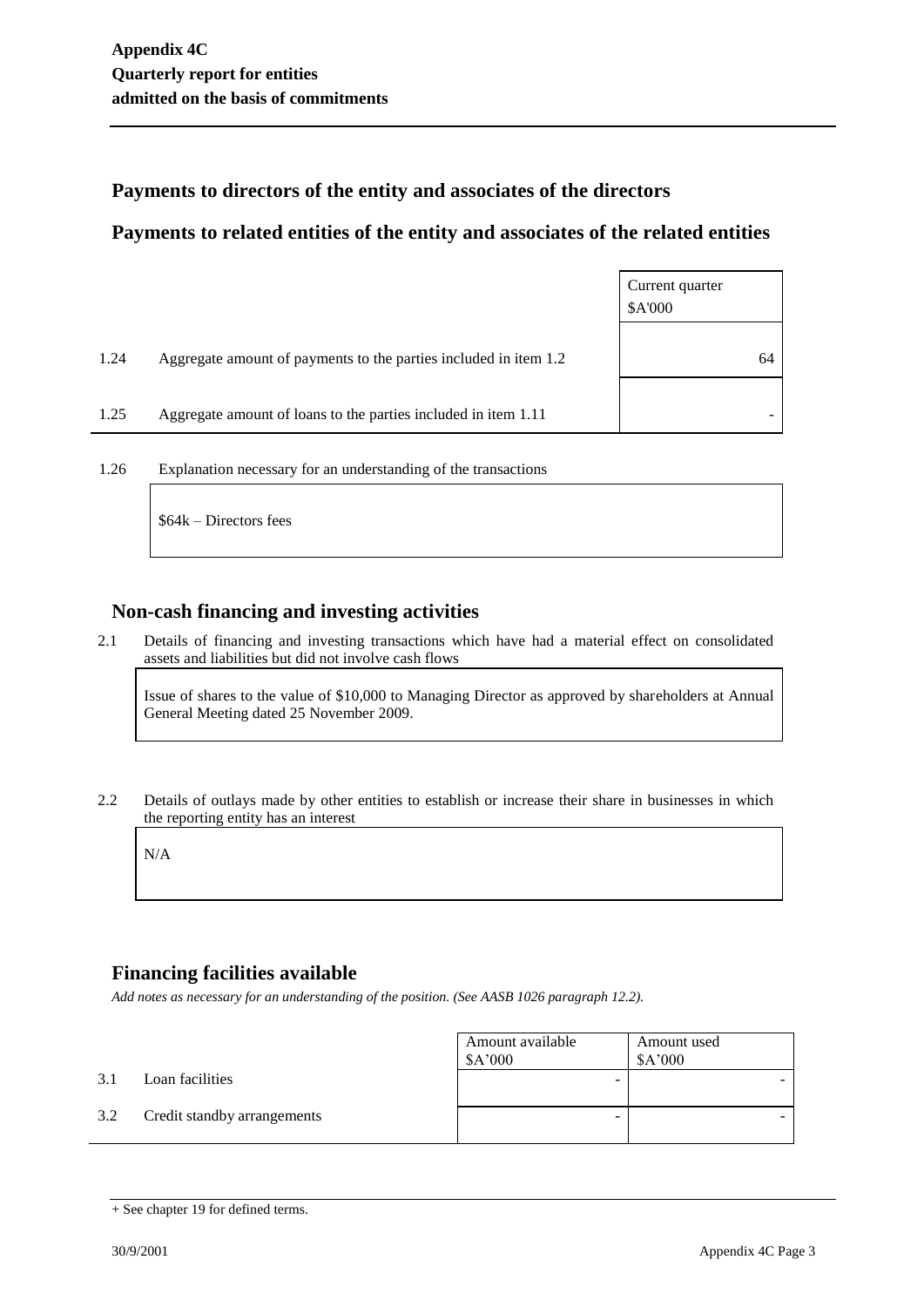#### **Payments to directors of the entity and associates of the directors**

#### **Payments to related entities of the entity and associates of the related entities**

|      |                                                                  | Current quarter<br>\$A'000 |
|------|------------------------------------------------------------------|----------------------------|
| 1.24 | Aggregate amount of payments to the parties included in item 1.2 | 64                         |
| 1.25 | Aggregate amount of loans to the parties included in item 1.11   |                            |

1.26 Explanation necessary for an understanding of the transactions

\$64k – Directors fees

#### **Non-cash financing and investing activities**

2.1 Details of financing and investing transactions which have had a material effect on consolidated assets and liabilities but did not involve cash flows

Issue of shares to the value of \$10,000 to Managing Director as approved by shareholders at Annual General Meeting dated 25 November 2009.

2.2 Details of outlays made by other entities to establish or increase their share in businesses in which the reporting entity has an interest

N/A

### **Financing facilities available**

*Add notes as necessary for an understanding of the position. (See AASB 1026 paragraph 12.2).*

|     |                             | Amount available<br>\$A'000 | Amount used<br>\$A'000 |
|-----|-----------------------------|-----------------------------|------------------------|
| 3.1 | Loan facilities             |                             |                        |
| 3.2 | Credit standby arrangements |                             |                        |

<sup>+</sup> See chapter 19 for defined terms.